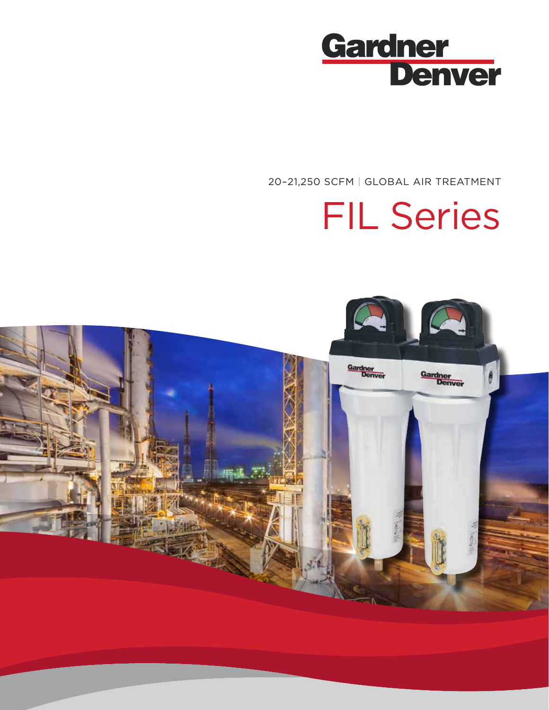

20–21,250 SCFM | GLOBAL AIR TREATMENT

# FIL Series

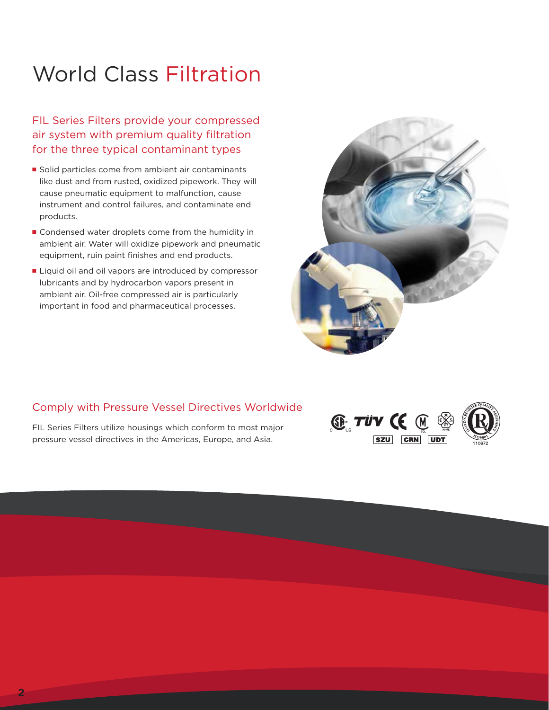# World Class Filtration

FIL Series Filters provide your compressed air system with premium quality filtration for the three typical contaminant types

- Solid particles come from ambient air contaminants like dust and from rusted, oxidized pipework. They will cause pneumatic equipment to malfunction, cause instrument and control failures, and contaminate end products.
- Condensed water droplets come from the humidity in ambient air. Water will oxidize pipework and pneumatic equipment, ruin paint finishes and end products.
- Liquid oil and oil vapors are introduced by compressor lubricants and by hydrocarbon vapors present in ambient air. Oil-free compressed air is particularly important in food and pharmaceutical processes.



# Comply with Pressure Vessel Directives Worldwide

FIL Series Filters utilize housings which conform to most major pressure vessel directives in the Americas, Europe, and Asia.

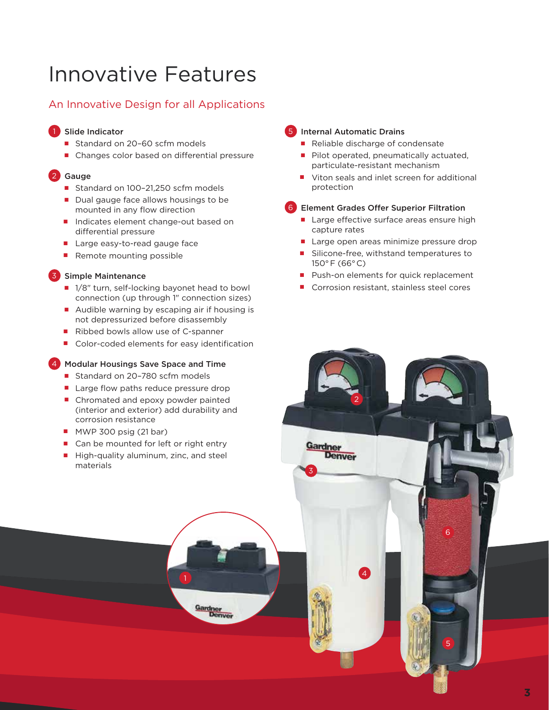# Innovative Features

# An Innovative Design for all Applications

### 1 Slide Indicator

- Standard on 20-60 scfm models
- Changes color based on differential pressure

## 2 Gauge

- Standard on 100-21,250 scfm models
- Dual gauge face allows housings to be mounted in any flow direction
- Indicates element change-out based on differential pressure
- Large easy-to-read gauge face
- Remote mounting possible

### 3 Simple Maintenance

- 1/8" turn, self-locking bayonet head to bowl connection (up through 1" connection sizes)
- Audible warning by escaping air if housing is not depressurized before disassembly
- Ribbed bowls allow use of C-spanner
- Color-coded elements for easy identification

### 4 Modular Housings Save Space and Time

- Standard on 20-780 scfm models
- Large flow paths reduce pressure drop
- Chromated and epoxy powder painted (interior and exterior) add durability and corrosion resistance
- MWP 300 psig (21 bar)
- Can be mounted for left or right entry
- High-quality aluminum, zinc, and steel materials

### 5 Internal Automatic Drains

- Reliable discharge of condensate
- Pilot operated, pneumatically actuated, particulate-resistant mechanism
- Viton seals and inlet screen for additional protection

### 6 Element Grades Offer Superior Filtration

- Large effective surface areas ensure high capture rates
- Large open areas minimize pressure drop
- Silicone-free, withstand temperatures to 150° F (66° C)
- Push-on elements for quick replacement
- Corrosion resistant, stainless steel cores

2

3

Gardner

**Denver** 

1 4 4 4 4 4 4 4 4 4 4 4  $\pm$  1  $\pm$  1  $\pm$  1  $\pm$  1  $\pm$  1  $\pm$  1  $\pm$  1  $\pm$  1  $\pm$  1  $\pm$  1  $\pm$  1  $\pm$  1  $\pm$  1  $\pm$  1  $\pm$  1  $\pm$  1  $\pm$  1  $\pm$  1  $\pm$  1  $\pm$  1  $\pm$  1  $\pm$  1  $\pm$  1  $\pm$  1  $\pm$  1  $\pm$  1  $\pm$  1  $\pm$  1  $\$ 

Gardner<br>Denver

6

5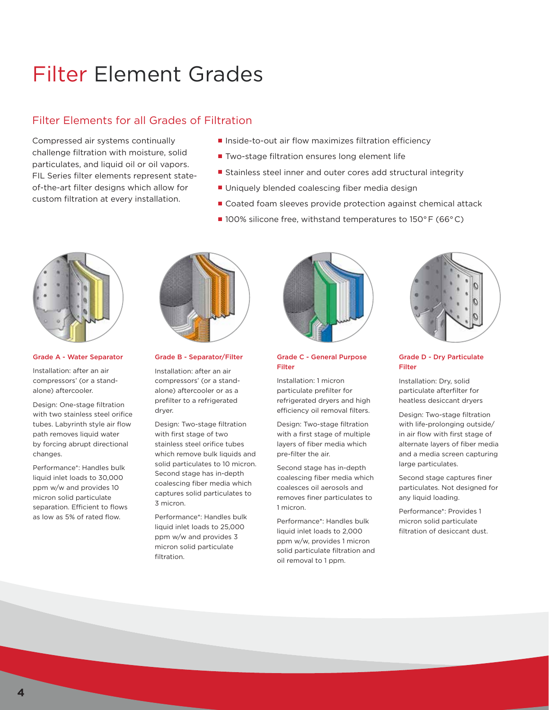# Filter Element Grades

# Filter Elements for all Grades of Filtration

Compressed air systems continually challenge filtration with moisture, solid particulates, and liquid oil or oil vapors. FIL Series filter elements represent stateof-the-art filter designs which allow for custom filtration at every installation.

- Inside-to-out air flow maximizes filtration efficiency
- Two-stage filtration ensures long element life
- Stainless steel inner and outer cores add structural integrity
- Uniquely blended coalescing fiber media design
- Coated foam sleeves provide protection against chemical attack
- 100% silicone free, withstand temperatures to 150°F (66°C)



#### Grade A - Water Separator

Installation: after an air compressors' (or a standalone) aftercooler.

Design: One-stage filtration with two stainless steel orifice tubes. Labyrinth style air flow path removes liquid water by forcing abrupt directional changes.

Performance\*: Handles bulk liquid inlet loads to 30,000 ppm w/w and provides 10 micron solid particulate separation. Efficient to flows as low as 5% of rated flow.



#### Grade B - Separator/Filter

Installation: after an air compressors' (or a standalone) aftercooler or as a prefilter to a refrigerated dryer.

Design: Two-stage filtration with first stage of two stainless steel orifice tubes which remove bulk liquids and solid particulates to 10 micron. Second stage has in-depth coalescing fiber media which captures solid particulates to 3 micron.

Performance\*: Handles bulk liquid inlet loads to 25,000 ppm w/w and provides 3 micron solid particulate filtration.



#### Grade C - General Purpose Filter

Installation: 1 micron particulate prefilter for refrigerated dryers and high efficiency oil removal filters.

Design: Two-stage filtration with a first stage of multiple layers of fiber media which pre-filter the air.

Second stage has in-depth coalescing fiber media which coalesces oil aerosols and removes finer particulates to 1 micron.

Performance\*: Handles bulk liquid inlet loads to 2,000 ppm w/w, provides 1 micron solid particulate filtration and oil removal to 1 ppm.



#### Grade D - Dry Particulate Filter

Installation: Dry, solid particulate afterfilter for heatless desiccant dryers

Design: Two-stage filtration with life-prolonging outside/ in air flow with first stage of alternate layers of fiber media and a media screen capturing large particulates.

Second stage captures finer particulates. Not designed for any liquid loading.

Performance\*: Provides 1 micron solid particulate filtration of desiccant dust.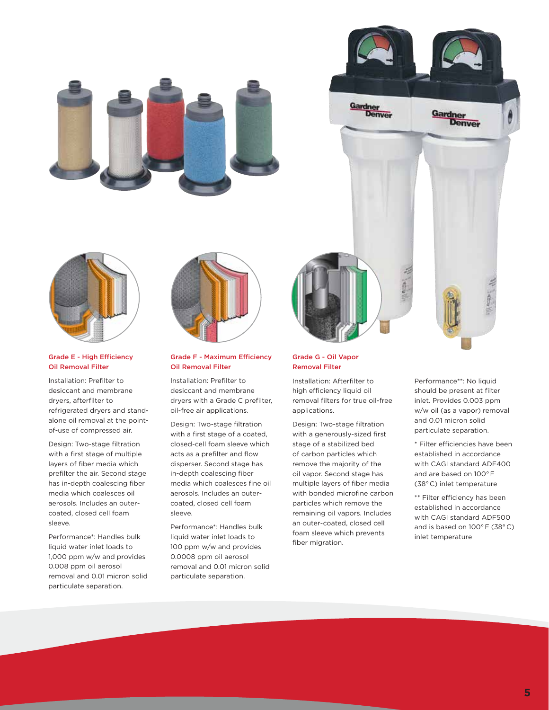





#### Grade E - High Efficiency Oil Removal Filter

Installation: Prefilter to desiccant and membrane dryers, afterfilter to refrigerated dryers and standalone oil removal at the pointof-use of compressed air.

Design: Two-stage filtration with a first stage of multiple layers of fiber media which prefilter the air. Second stage has in-depth coalescing fiber media which coalesces oil aerosols. Includes an outercoated, closed cell foam sleeve.

Performance\*: Handles bulk liquid water inlet loads to 1,000 ppm w/w and provides 0.008 ppm oil aerosol removal and 0.01 micron solid particulate separation.



#### Grade F - Maximum Efficiency Oil Removal Filter

Installation: Prefilter to desiccant and membrane dryers with a Grade C prefilter, oil-free air applications.

Design: Two-stage filtration with a first stage of a coated, closed-cell foam sleeve which acts as a prefilter and flow disperser. Second stage has in-depth coalescing fiber media which coalesces fine oil aerosols. Includes an outercoated, closed cell foam sleeve.

Performance\*: Handles bulk liquid water inlet loads to 100 ppm w/w and provides 0.0008 ppm oil aerosol removal and 0.01 micron solid particulate separation.

#### Grade G - Oil Vapor Removal Filter

Installation: Afterfilter to high efficiency liquid oil removal filters for true oil-free applications.

Design: Two-stage filtration with a generously-sized first stage of a stabilized bed of carbon particles which remove the majority of the oil vapor. Second stage has multiple layers of fiber media with bonded microfine carbon particles which remove the remaining oil vapors. Includes an outer-coated, closed cell foam sleeve which prevents fiber migration.

Performance\*\*: No liquid should be present at filter inlet. Provides 0.003 ppm w/w oil (as a vapor) removal and 0.01 micron solid particulate separation.

\* Filter efficiencies have been established in accordance with CAGI standard ADF400 and are based on 100° F (38° C) inlet temperature

\*\* Filter efficiency has been established in accordance with CAGI standard ADF500 and is based on 100° F (38° C) inlet temperature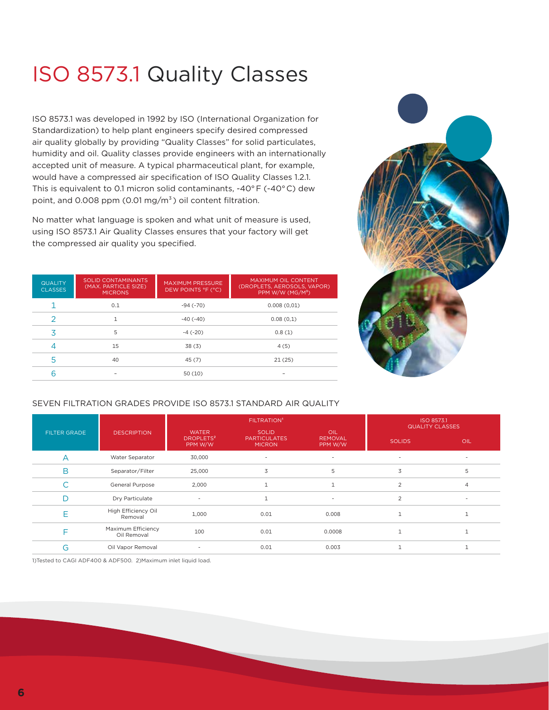# ISO 8573.1 Quality Classes

ISO 8573.1 was developed in 1992 by ISO (International Organization for Standardization) to help plant engineers specify desired compressed air quality globally by providing "Quality Classes" for solid particulates, humidity and oil. Quality classes provide engineers with an internationally accepted unit of measure. A typical pharmaceutical plant, for example, would have a compressed air specification of ISO Quality Classes 1.2.1. This is equivalent to 0.1 micron solid contaminants, -40° F (-40° C) dew point, and 0.008 ppm (0.01 mg/m<sup>3</sup>) oil content filtration.

No matter what language is spoken and what unit of measure is used, using ISO 8573.1 Air Quality Classes ensures that your factory will get the compressed air quality you specified.

| <b>QUALITY</b><br><b>CLASSES</b> | SOLID CONTAMINANTS<br>(MAX. PARTICLE SIZE)<br><b>MICRONS</b> | <b>MAXIMUM PRESSURE</b><br>DEW POINTS °F (°C) | MAXIMUM OIL CONTENT<br>(DROPLETS, AEROSOLS, VAPOR)<br>PPM W/W (MG/M3) |
|----------------------------------|--------------------------------------------------------------|-----------------------------------------------|-----------------------------------------------------------------------|
|                                  | 0.1                                                          | $-94(-70)$                                    | 0.008(0.01)                                                           |
|                                  |                                                              | $-40$ ( $-40$ )                               | 0.08(0,1)                                                             |
| 3                                | 5                                                            | $-4$ ( $-20$ )                                | 0.8(1)                                                                |
|                                  | 15                                                           | 38(3)                                         | 4(5)                                                                  |
|                                  | 40                                                           | 45(7)                                         | 21(25)                                                                |
|                                  |                                                              | 50(10)                                        |                                                                       |



#### SEVEN FILTRATION GRADES PROVIDE ISO 8573.1 STANDARD AIR QUALITY

|                     |                                   |                                                  | <b>FILTRATION'</b>                                   | ISO 8573.1<br><b>QUALITY CLASSES</b> |                |                |  |
|---------------------|-----------------------------------|--------------------------------------------------|------------------------------------------------------|--------------------------------------|----------------|----------------|--|
| <b>FILTER GRADE</b> | <b>DESCRIPTION</b>                | <b>WATER</b><br>DROPLETS <sup>2</sup><br>PPM W/W | <b>SOLID</b><br><b>PARTICULATES</b><br><b>MICRON</b> | OIL<br><b>REMOVAL</b><br>PPM W/W     | <b>SOLIDS</b>  | <b>OIL</b>     |  |
|                     | Water Separator                   | 30,000                                           |                                                      | $\overline{\phantom{a}}$             | ۰.             |                |  |
| B                   | Separator/Filter                  | 25,000                                           | 3                                                    | 5                                    | 3              | 5              |  |
|                     | General Purpose                   | 2,000                                            |                                                      |                                      | $\overline{2}$ | $\overline{4}$ |  |
|                     | Dry Particulate                   | $\overline{\phantom{a}}$                         |                                                      | $\sim$                               | $\overline{2}$ | ٠              |  |
|                     | High Efficiency Oil<br>Removal    | 1,000                                            | 0.01                                                 | 0.008                                | $\mathbf{1}$   |                |  |
|                     | Maximum Efficiency<br>Oil Removal | 100                                              | 0.01                                                 | 0.0008                               | 1              |                |  |
| G                   | Oil Vapor Removal                 | $\overline{\phantom{a}}$                         | 0.01                                                 | 0.003                                |                |                |  |

1)Tested to CAGI ADF400 & ADF500. 2)Maximum inlet liquid load.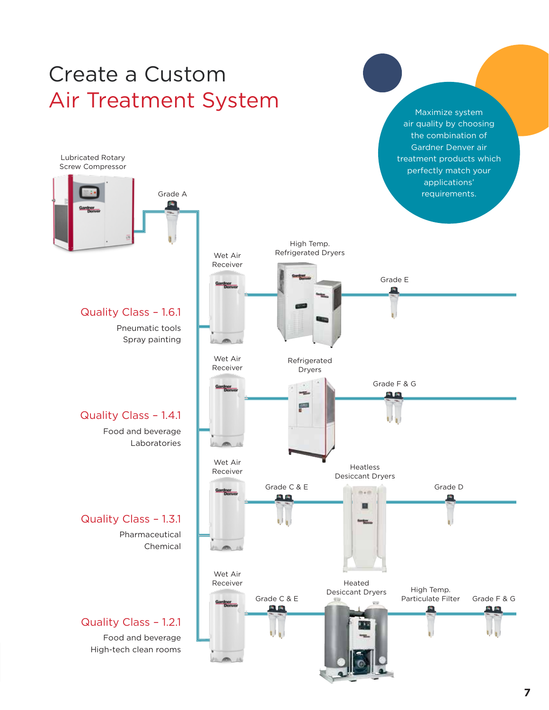# Create a Custom Air Treatment System



Maximize system air quality by choosing the combination of